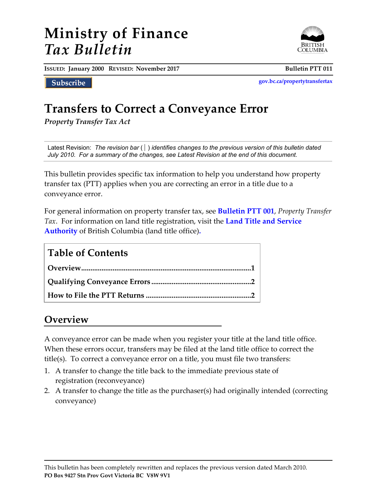# **Ministry of Finance** *Tax Bulletin*



**ISSUED: January 2000 REVISED: November 2017 Bulletin PTT 011**

Subscribe

**[gov.bc.ca/propertytransfertax](http://www.gov.bc.ca/propertytransfertax)**

# **Transfers to Correct a Conveyance Error**

*Property Transfer Tax Act*

Latest Revision:*The revision bar* ( ) *identifies changes to the previous version of this bulletin dated July 2010. For a summary of the changes, see Latest Revision at the end of this document.*

This bulletin provides specific tax information to help you understand how property transfer tax (PTT) applies when you are correcting an error in a title due to a conveyance error.

For general information on property transfer tax, see **[Bulletin PTT 001](http://www2.gov.bc.ca/assets/download/723863DCBF914C2E94F65FED6D6501CF)**, *Property Transfer Tax*. For information on land title registration, visit the **[Land Title and Service](http://www.ltsa.ca/)  [Authority](http://www.ltsa.ca/)** of British Columbia (land title office)**.**

### **Table of Contents**

## **Overview**

A conveyance error can be made when you register your title at the land title office. When these errors occur, transfers may be filed at the land title office to correct the title(s). To correct a conveyance error on a title, you must file two transfers:

- 1. A transfer to change the title back to the immediate previous state of registration (reconveyance)
- 2. A transfer to change the title as the purchaser(s) had originally intended (correcting conveyance)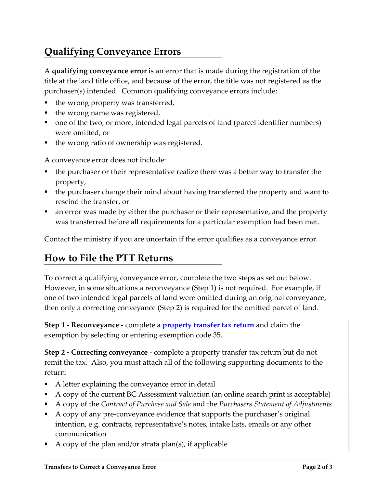# **Qualifying Conveyance Errors**

A **qualifying conveyance error** is an error that is made during the registration of the title at the land title office, and because of the error, the title was not registered as the purchaser(s) intended. Common qualifying conveyance errors include:

- the wrong property was transferred,
- the wrong name was registered,
- one of the two, or more, intended legal parcels of land (parcel identifier numbers) were omitted, or
- the wrong ratio of ownership was registered.

A conveyance error does not include:

- the purchaser or their representative realize there was a better way to transfer the property,
- the purchaser change their mind about having transferred the property and want to rescind the transfer, or
- an error was made by either the purchaser or their representative, and the property was transferred before all requirements for a particular exemption had been met.

Contact the ministry if you are uncertain if the error qualifies as a conveyance error.

## **How to File the PTT Returns**

To correct a qualifying conveyance error, complete the two steps as set out below. However, in some situations a reconveyance (Step 1) is not required. For example, if one of two intended legal parcels of land were omitted during an original conveyance, then only a correcting conveyance (Step 2) is required for the omitted parcel of land.

**Step 1 - Reconveyance** - complete a **[property transfer tax return](https://www2.gov.bc.ca/gov/content?id=53F1BF2B761044CB9A817A75BB2813FC)** and claim the exemption by selecting or entering exemption code 35.

**Step 2 - Correcting conveyance** - complete a property transfer tax return but do not remit the tax. Also, you must attach all of the following supporting documents to the return:

- A letter explaining the conveyance error in detail
- A copy of the current BC Assessment valuation (an online search print is acceptable)
- A copy of the *Contract of Purchase and Sale* and the *Purchasers Statement of Adjustments*
- A copy of any pre-conveyance evidence that supports the purchaser's original intention, e.g. contracts, representative's notes, intake lists, emails or any other communication
- A copy of the plan and/or strata plan(s), if applicable